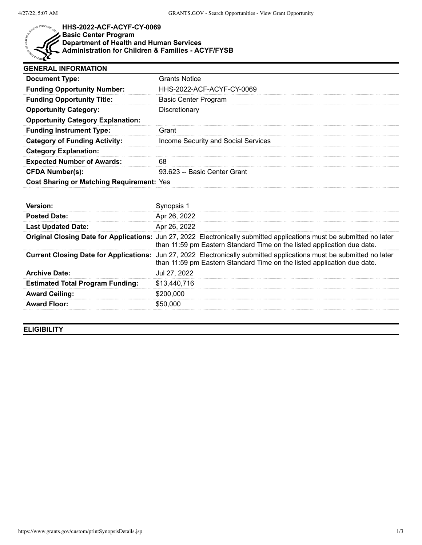

## **HHS-2022-ACF-ACYF-CY-0069 Basic Center Program Department of Health and Human Services Administration for Children & Families - ACYF/FYSB**

| <b>GENERAL INFORMATION</b>                       |                                     |  |
|--------------------------------------------------|-------------------------------------|--|
| <b>Document Type:</b>                            | <b>Grants Notice</b>                |  |
| <b>Funding Opportunity Number:</b>               | HHS-2022-ACF-ACYF-CY-0069           |  |
| <b>Funding Opportunity Title:</b>                | Basic Center Program                |  |
| <b>Opportunity Category:</b>                     | Discretionary                       |  |
| <b>Opportunity Category Explanation:</b>         |                                     |  |
| <b>Funding Instrument Type:</b>                  | Grant                               |  |
| <b>Category of Funding Activity:</b>             | Income Security and Social Services |  |
| <b>Category Explanation:</b>                     |                                     |  |
| <b>Expected Number of Awards:</b>                | 68                                  |  |
| <b>CFDA Number(s):</b>                           | 93.623 -- Basic Center Grant        |  |
| <b>Cost Sharing or Matching Requirement: Yes</b> |                                     |  |

| <b>Version:</b>                         |                                                                                                                                                                                                  |
|-----------------------------------------|--------------------------------------------------------------------------------------------------------------------------------------------------------------------------------------------------|
| <b>Posted Date:</b>                     | Apr 26, 2022                                                                                                                                                                                     |
| <b>Last Updated Date:</b>               | Apr 26, 2022                                                                                                                                                                                     |
|                                         | Original Closing Date for Applications: Jun 27, 2022 Electronically submitted applications must be submitted no later<br>than 11:59 pm Eastern Standard Time on the listed application due date. |
|                                         | Current Closing Date for Applications: Jun 27, 2022 Electronically submitted applications must be submitted no later<br>than 11:59 pm Eastern Standard Time on the listed application due date.  |
| <b>Archive Date:</b>                    | Jul 27, 2022                                                                                                                                                                                     |
| <b>Estimated Total Program Funding:</b> | \$13,440,716                                                                                                                                                                                     |
| <b>Award Ceiling:</b>                   | \$200.000                                                                                                                                                                                        |
| <b>Award Floor:</b>                     | \$50,000                                                                                                                                                                                         |

**ELIGIBILITY**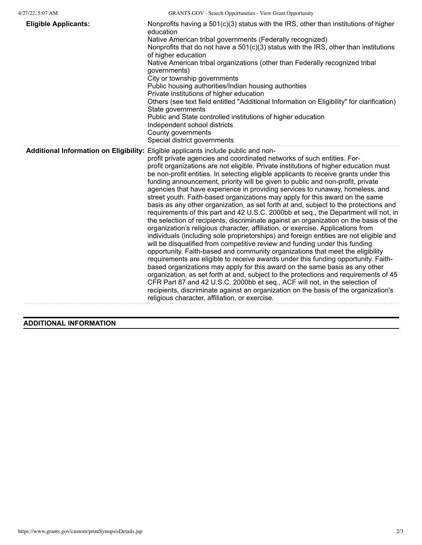| <b>Eligible Applicants:</b> | Nonprofits having a $501(c)(3)$ status with the IRS, other than institutions of higher<br>education<br>Native American tribal governments (Federally recognized)<br>Nonprofits that do not have a 501(c)(3) status with the IRS, other than institutions<br>of higher education<br>Native American tribal organizations (other than Federally recognized tribal<br>governments)<br>City or township governments<br>Public housing authorities/Indian housing authorities<br>Private institutions of higher education<br>Others (see text field entitled "Additional Information on Eligibility" for clarification)<br>State governments<br>Public and State controlled institutions of higher education<br>Independent school districts<br>County governments<br>Special district governments                                                                                                                                                                                                                                                                                                                                                                                                                                                                                                                                                                                                                                                                                                                                                                                                                                                                                                                |
|-----------------------------|--------------------------------------------------------------------------------------------------------------------------------------------------------------------------------------------------------------------------------------------------------------------------------------------------------------------------------------------------------------------------------------------------------------------------------------------------------------------------------------------------------------------------------------------------------------------------------------------------------------------------------------------------------------------------------------------------------------------------------------------------------------------------------------------------------------------------------------------------------------------------------------------------------------------------------------------------------------------------------------------------------------------------------------------------------------------------------------------------------------------------------------------------------------------------------------------------------------------------------------------------------------------------------------------------------------------------------------------------------------------------------------------------------------------------------------------------------------------------------------------------------------------------------------------------------------------------------------------------------------------------------------------------------------------------------------------------------------|
|                             | Additional Information on Eligibility: Eligible applicants include public and non-<br>profit private agencies and coordinated networks of such entities. For-<br>profit organizations are not eligible. Private institutions of higher education must<br>be non-profit entities. In selecting eligible applicants to receive grants under this<br>funding announcement, priority will be given to public and non-profit, private<br>agencies that have experience in providing services to runaway, homeless, and<br>street youth. Faith-based organizations may apply for this award on the same<br>basis as any other organization, as set forth at and, subject to the protections and<br>requirements of this part and 42 U.S.C. 2000bb et seq., the Department will not, in<br>the selection of recipients, discriminate against an organization on the basis of the<br>organization's religious character, affiliation, or exercise. Applications from<br>individuals (including sole proprietorships) and foreign entities are not eligible and<br>will be disqualified from competitive review and funding under this funding<br>opportunity. Faith-based and community organizations that meet the eligibility<br>requirements are eligible to receive awards under this funding opportunity. Faith-<br>based organizations may apply for this award on the same basis as any other<br>organization, as set forth at and, subject to the protections and requirements of 45<br>CFR Part 87 and 42 U.S.C. 2000bb et seq., ACF will not, in the selection of<br>recipients, discriminate against an organization on the basis of the organization's<br>religious character, affiliation, or exercise. |

## **ADDITIONAL INFORMATION**